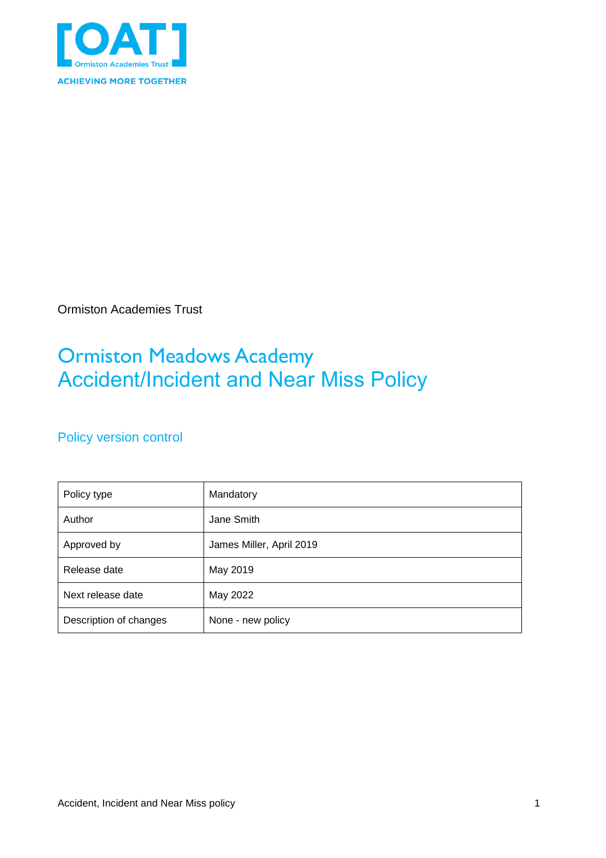

Ormiston Academies Trust

## Ormiston Meadows Academy Accident/Incident and Near Miss Policy

### Policy version control

| Policy type            | Mandatory                |
|------------------------|--------------------------|
| Author                 | Jane Smith               |
| Approved by            | James Miller, April 2019 |
| Release date           | May 2019                 |
| Next release date      | May 2022                 |
| Description of changes | None - new policy        |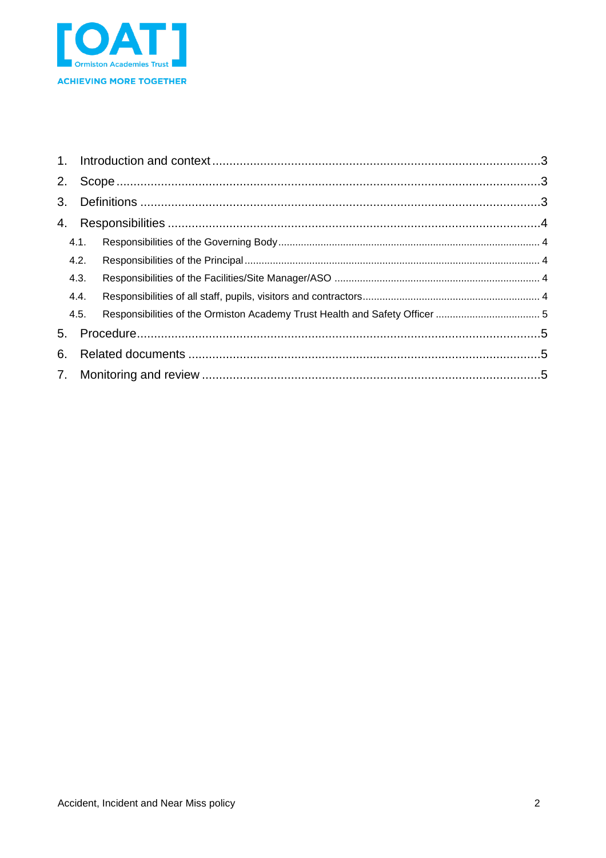

| 2. |      |  |  |  |
|----|------|--|--|--|
|    |      |  |  |  |
|    |      |  |  |  |
|    | 4.1. |  |  |  |
|    | 4.2. |  |  |  |
|    | 4.3. |  |  |  |
|    | 4.4. |  |  |  |
|    | 4.5. |  |  |  |
| 5. |      |  |  |  |
| 6. |      |  |  |  |
|    |      |  |  |  |
|    |      |  |  |  |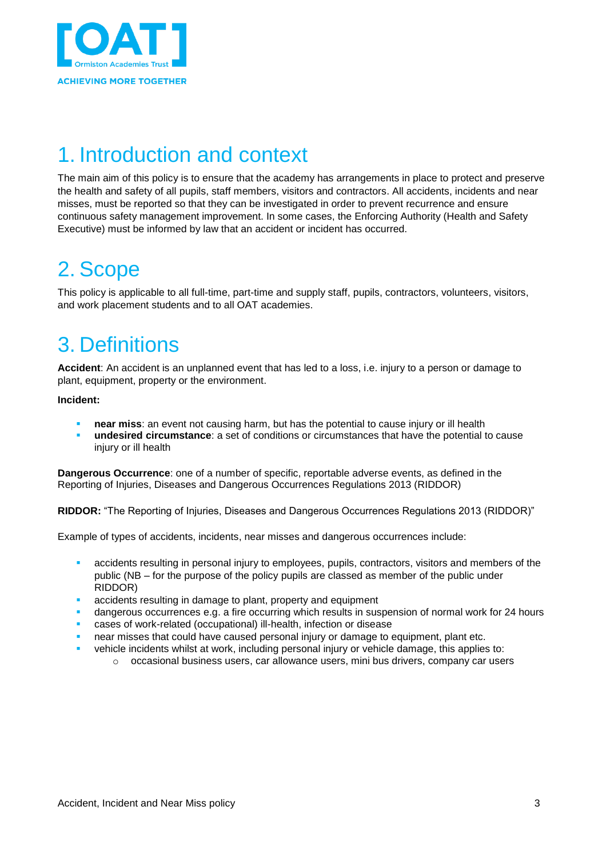

# <span id="page-2-0"></span>1. Introduction and context

The main aim of this policy is to ensure that the academy has arrangements in place to protect and preserve the health and safety of all pupils, staff members, visitors and contractors. All accidents, incidents and near misses, must be reported so that they can be investigated in order to prevent recurrence and ensure continuous safety management improvement. In some cases, the Enforcing Authority (Health and Safety Executive) must be informed by law that an accident or incident has occurred.

## <span id="page-2-1"></span>2. Scope

This policy is applicable to all full-time, part-time and supply staff, pupils, contractors, volunteers, visitors, and work placement students and to all OAT academies.

## <span id="page-2-2"></span>3. Definitions

Accident: An accident is an unplanned event that has led to a loss, i.e. injury to a person or damage to plant, equipment, property or the environment.

**Incident:**

- **near miss**: an event not causing harm, but has the potential to cause injury or ill health
- **undesired circumstance**: a set of conditions or circumstances that have the potential to cause injury or ill health

**Dangerous Occurrence**: one of a number of specific, reportable adverse events, as defined in the Reporting of Injuries, Diseases and Dangerous Occurrences Regulations 2013 (RIDDOR)

**RIDDOR:** "The Reporting of Injuries, Diseases and Dangerous Occurrences Regulations 2013 (RIDDOR)"

Example of types of accidents, incidents, near misses and dangerous occurrences include:

- accidents resulting in personal injury to employees, pupils, contractors, visitors and members of the public (NB – for the purpose of the policy pupils are classed as member of the public under RIDDOR)
- accidents resulting in damage to plant, property and equipment
- dangerous occurrences e.g. a fire occurring which results in suspension of normal work for 24 hours
- cases of work-related (occupational) ill-health, infection or disease
- near misses that could have caused personal injury or damage to equipment, plant etc.
- vehicle incidents whilst at work, including personal injury or vehicle damage, this applies to:
	- $\circ$  occasional business users, car allowance users, mini bus drivers, company car users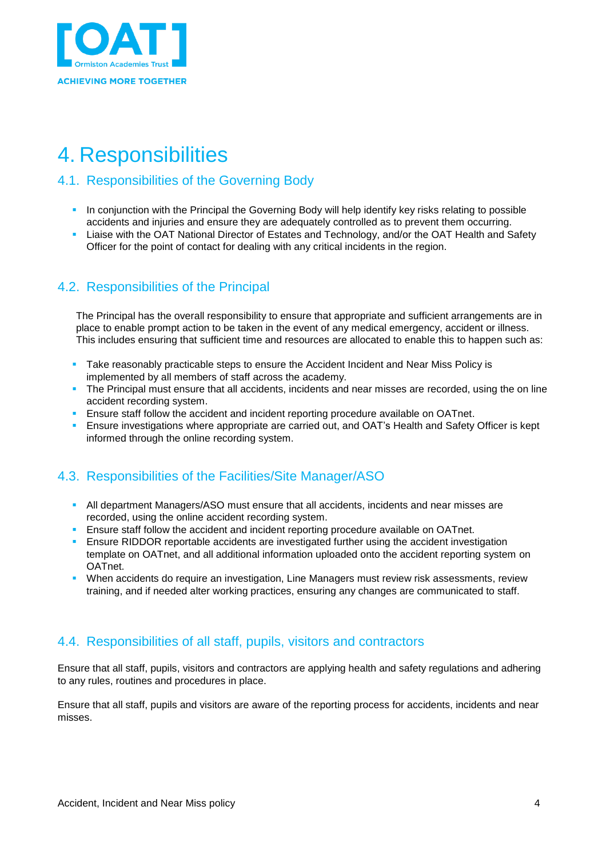

# <span id="page-3-0"></span>4. Responsibilities

#### <span id="page-3-1"></span>4.1. Responsibilities of the Governing Body

- **In conjunction with the Principal the Governing Body will help identify key risks relating to possible** accidents and injuries and ensure they are adequately controlled as to prevent them occurring.
- Liaise with the OAT National Director of Estates and Technology, and/or the OAT Health and Safety Officer for the point of contact for dealing with any critical incidents in the region.

#### <span id="page-3-2"></span>4.2. Responsibilities of the Principal

The Principal has the overall responsibility to ensure that appropriate and sufficient arrangements are in place to enable prompt action to be taken in the event of any medical emergency, accident or illness. This includes ensuring that sufficient time and resources are allocated to enable this to happen such as:

- Take reasonably practicable steps to ensure the Accident Incident and Near Miss Policy is implemented by all members of staff across the academy.
- The Principal must ensure that all accidents, incidents and near misses are recorded, using the on line accident recording system.
- Ensure staff follow the accident and incident reporting procedure available on OATnet.
- Ensure investigations where appropriate are carried out, and OAT's Health and Safety Officer is kept informed through the online recording system.

### <span id="page-3-3"></span>4.3. Responsibilities of the Facilities/Site Manager/ASO

- **All department Managers/ASO must ensure that all accidents, incidents and near misses are** recorded, using the online accident recording system.
- **Ensure staff follow the accident and incident reporting procedure available on OATnet.**
- **E** Ensure RIDDOR reportable accidents are investigated further using the accident investigation template on OATnet, and all additional information uploaded onto the accident reporting system on OATnet.
- When accidents do require an investigation, Line Managers must review risk assessments, review training, and if needed alter working practices, ensuring any changes are communicated to staff.

#### <span id="page-3-4"></span>4.4. Responsibilities of all staff, pupils, visitors and contractors

Ensure that all staff, pupils, visitors and contractors are applying health and safety regulations and adhering to any rules, routines and procedures in place.

Ensure that all staff, pupils and visitors are aware of the reporting process for accidents, incidents and near misses.